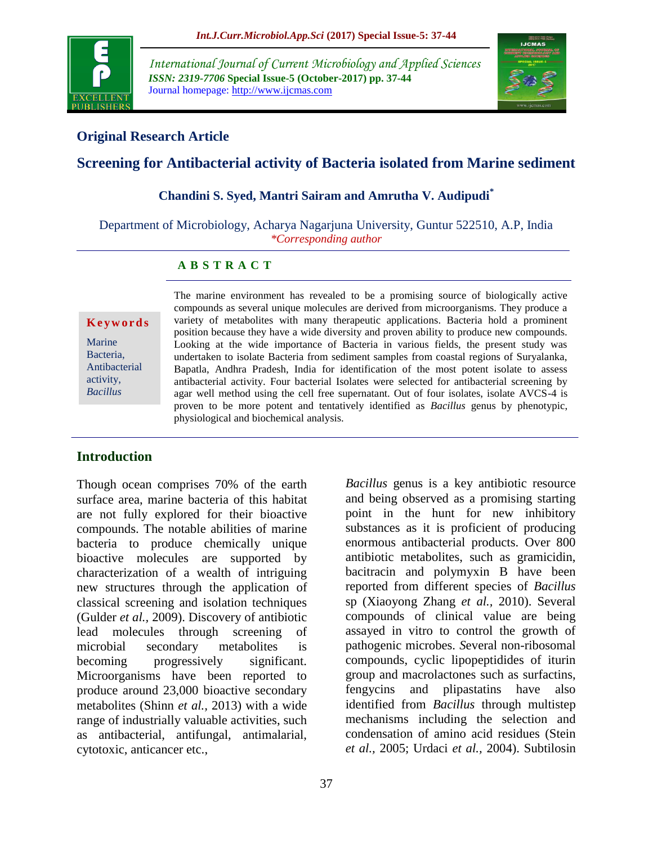

*International Journal of Current Microbiology and Applied Sciences ISSN: 2319-7706* **Special Issue-5 (October-2017) pp. 37-44** Journal homepage: http://www.ijcmas.com



### **Original Research Article**

## **Screening for Antibacterial activity of Bacteria isolated from Marine sediment**

#### **Chandini S. Syed, Mantri Sairam and Amrutha V. Audipudi\***

Department of Microbiology, Acharya Nagarjuna University, Guntur 522510, A.P, India *\*Corresponding author*

#### **A B S T R A C T**

#### **K e y w o r d s**

Marine Bacteria, Antibacterial activity, *Bacillus*

The marine environment has revealed to be a promising source of biologically active compounds as several unique molecules are derived from microorganisms. They produce a variety of metabolites with many therapeutic applications. Bacteria hold a prominent position because they have a wide diversity and proven ability to produce new compounds. Looking at the wide importance of Bacteria in various fields, the present study was undertaken to isolate Bacteria from sediment samples from coastal regions of Suryalanka, Bapatla, Andhra Pradesh, India for identification of the most potent isolate to assess antibacterial activity. Four bacterial Isolates were selected for antibacterial screening by agar well method using the cell free supernatant. Out of four isolates, isolate AVCS-4 is proven to be more potent and tentatively identified as *Bacillus* genus by phenotypic, physiological and biochemical analysis.

#### **Introduction**

Though ocean comprises 70% of the earth surface area, marine bacteria of this habitat are not fully explored for their bioactive compounds. The notable abilities of marine bacteria to produce chemically unique bioactive molecules are supported by characterization of a wealth of intriguing new structures through the application of classical screening and isolation techniques (Gulder *et al.,* 2009). Discovery of antibiotic lead molecules through screening of microbial secondary metabolites is becoming progressively significant. Microorganisms have been reported to produce around 23,000 bioactive secondary metabolites (Shinn *et al.,* 2013) with a wide range of industrially valuable activities, such as antibacterial, antifungal, antimalarial, cytotoxic, anticancer etc.,

and being observed as a promising starting point in the hunt for new inhibitory substances as it is proficient of producing enormous antibacterial products. Over 800 antibiotic metabolites, such as gramicidin, bacitracin and polymyxin B have been reported from different species of *Bacillus* sp (Xiaoyong Zhang *et al.,* 2010). Several compounds of clinical value are being assayed in vitro to control the growth of pathogenic microbes. *S*everal non-ribosomal compounds, cyclic lipopeptidides of iturin group and macrolactones such as surfactins, fengycins and plipastatins have also identified from *Bacillus* through multistep mechanisms including the selection and condensation of amino acid residues (Stein *et al.,* 2005; Urdaci *et al.,* 2004). Subtilosin

*Bacillus* genus is a key antibiotic resource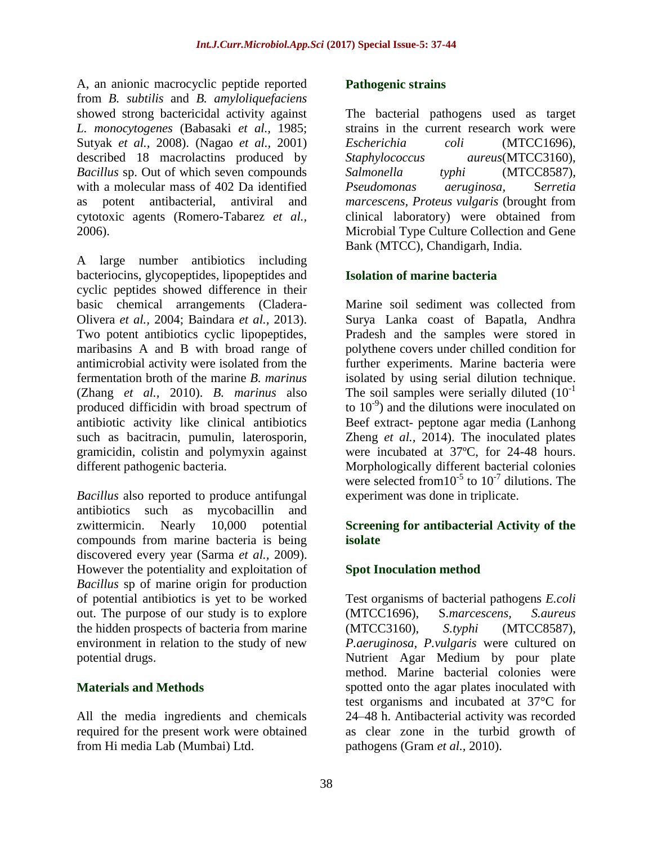A, an anionic macrocyclic peptide reported from *B. subtilis* and *B. amyloliquefaciens* showed strong bactericidal activity against *L. monocytogenes* (Babasaki *et al.,* 1985; Sutyak *et al.,* 2008). (Nagao *et al.,* 2001) described 18 macrolactins produced by *Bacillus* sp. Out of which seven compounds with a molecular mass of 402 Da identified as potent antibacterial, antiviral and cytotoxic agents (Romero-Tabarez *et al.,* 2006).

A large number antibiotics including bacteriocins, glycopeptides, lipopeptides and cyclic peptides showed difference in their basic chemical arrangements (Cladera-Olivera *et al.,* 2004; Baindara *et al.,* 2013). Two potent antibiotics cyclic lipopeptides, maribasins A and B with broad range of antimicrobial activity were isolated from the fermentation broth of the marine *B. marinus* (Zhang *et al.,* 2010). *B. marinus* also produced difficidin with broad spectrum of antibiotic activity like clinical antibiotics such as bacitracin, pumulin, laterosporin, gramicidin, colistin and polymyxin against different pathogenic bacteria.

*Bacillus* also reported to produce antifungal antibiotics such as mycobacillin and zwittermicin. Nearly 10,000 potential compounds from marine bacteria is being discovered every year (Sarma *et al.,* 2009). However the potentiality and exploitation of *Bacillus* sp of marine origin for production of potential antibiotics is yet to be worked out. The purpose of our study is to explore the hidden prospects of bacteria from marine environment in relation to the study of new potential drugs.

## **Materials and Methods**

All the media ingredients and chemicals required for the present work were obtained from Hi media Lab (Mumbai) Ltd.

### **Pathogenic strains**

The bacterial pathogens used as target strains in the current research work were *Escherichia coli* (MTCC1696), *Staphylococcus aureus*(MTCC3160), *Salmonella typhi* (MTCC8587), *Pseudomonas aeruginosa,* S*erretia marcescens, Proteus vulgaris* (brought from clinical laboratory) were obtained from Microbial Type Culture Collection and Gene Bank (MTCC), Chandigarh, India.

### **Isolation of marine bacteria**

Marine soil sediment was collected from Surya Lanka coast of Bapatla, Andhra Pradesh and the samples were stored in polythene covers under chilled condition for further experiments. Marine bacteria were isolated by using serial dilution technique. The soil samples were serially diluted  $(10^{-1})$ to 10-9 ) and the dilutions were inoculated on Beef extract- peptone agar media (Lanhong Zheng *et al.,* 2014). The inoculated plates were incubated at 37ºC, for 24-48 hours. Morphologically different bacterial colonies were selected from  $10^{-5}$  to  $10^{-7}$  dilutions. The experiment was done in triplicate.

### **Screening for antibacterial Activity of the isolate**

### **Spot Inoculation method**

Test organisms of bacterial pathogens *E.coli*  (MTCC1696), S*.marcescens, S.aureus*  (MTCC3160), *S.typhi* (MTCC8587), *P.aeruginosa, P.vulgaris* were cultured on Nutrient Agar Medium by pour plate method. Marine bacterial colonies were spotted onto the agar plates inoculated with test organisms and incubated at 37°C for 24–48 h. Antibacterial activity was recorded as clear zone in the turbid growth of pathogens (Gram *et al.,* 2010).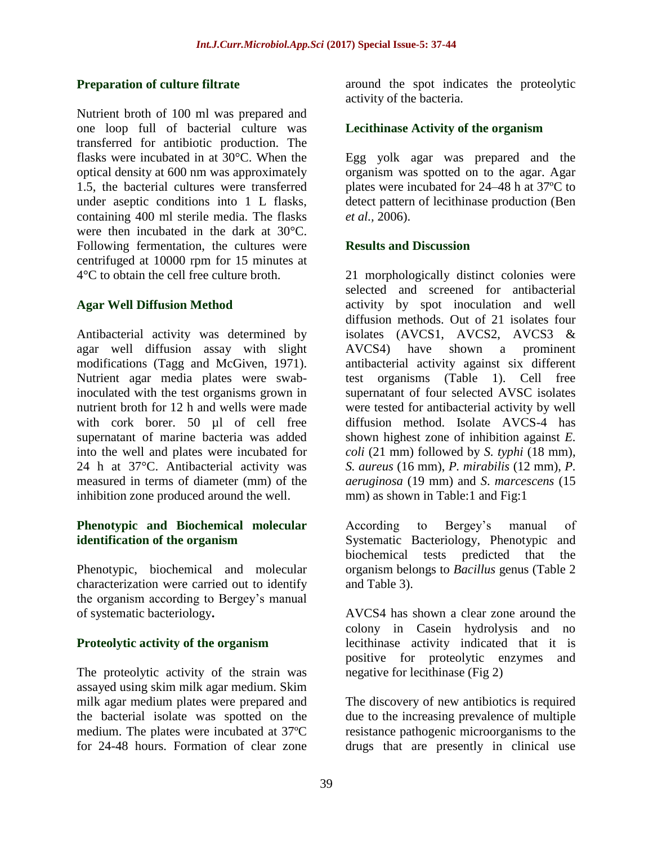### **Preparation of culture filtrate**

Nutrient broth of 100 ml was prepared and one loop full of bacterial culture was transferred for antibiotic production. The flasks were incubated in at 30°C. When the optical density at 600 nm was approximately 1.5, the bacterial cultures were transferred under aseptic conditions into 1 L flasks, containing 400 ml sterile media. The flasks were then incubated in the dark at 30°C. Following fermentation, the cultures were centrifuged at 10000 rpm for 15 minutes at 4°C to obtain the cell free culture broth.

### **Agar Well Diffusion Method**

Antibacterial activity was determined by agar well diffusion assay with slight modifications (Tagg and McGiven, 1971). Nutrient agar media plates were swabinoculated with the test organisms grown in nutrient broth for 12 h and wells were made with cork borer. 50 µl of cell free supernatant of marine bacteria was added into the well and plates were incubated for 24 h at 37°C. Antibacterial activity was measured in terms of diameter (mm) of the inhibition zone produced around the well.

#### **Phenotypic and Biochemical molecular identification of the organism**

Phenotypic, biochemical and molecular characterization were carried out to identify the organism according to Bergey's manual of systematic bacteriology**.**

#### **Proteolytic activity of the organism**

The proteolytic activity of the strain was assayed using skim milk agar medium. Skim milk agar medium plates were prepared and the bacterial isolate was spotted on the medium. The plates were incubated at 37ºC for 24-48 hours. Formation of clear zone

around the spot indicates the proteolytic activity of the bacteria.

### **Lecithinase Activity of the organism**

Egg yolk agar was prepared and the organism was spotted on to the agar. Agar plates were incubated for 24–48 h at 37ºC to detect pattern of lecithinase production (Ben *et al.,* 2006).

#### **Results and Discussion**

21 morphologically distinct colonies were selected and screened for antibacterial activity by spot inoculation and well diffusion methods. Out of 21 isolates four isolates (AVCS1, AVCS2, AVCS3 & AVCS4) have shown a prominent antibacterial activity against six different test organisms (Table 1). Cell free supernatant of four selected AVSC isolates were tested for antibacterial activity by well diffusion method. Isolate AVCS-4 has shown highest zone of inhibition against *E. coli* (21 mm) followed by *S. typhi* (18 mm), *S. aureus* (16 mm), *P. mirabilis* (12 mm), *P. aeruginosa* (19 mm) and *S*. *marcescens* (15 mm) as shown in Table:1 and Fig:1

According to Bergey's manual of Systematic Bacteriology, Phenotypic and biochemical tests predicted that the organism belongs to *Bacillus* genus (Table 2 and Table 3).

AVCS4 has shown a clear zone around the colony in Casein hydrolysis and no lecithinase activity indicated that it is positive for proteolytic enzymes and negative for lecithinase (Fig 2)

The discovery of new antibiotics is required due to the increasing prevalence of multiple resistance pathogenic microorganisms to the drugs that are presently in clinical use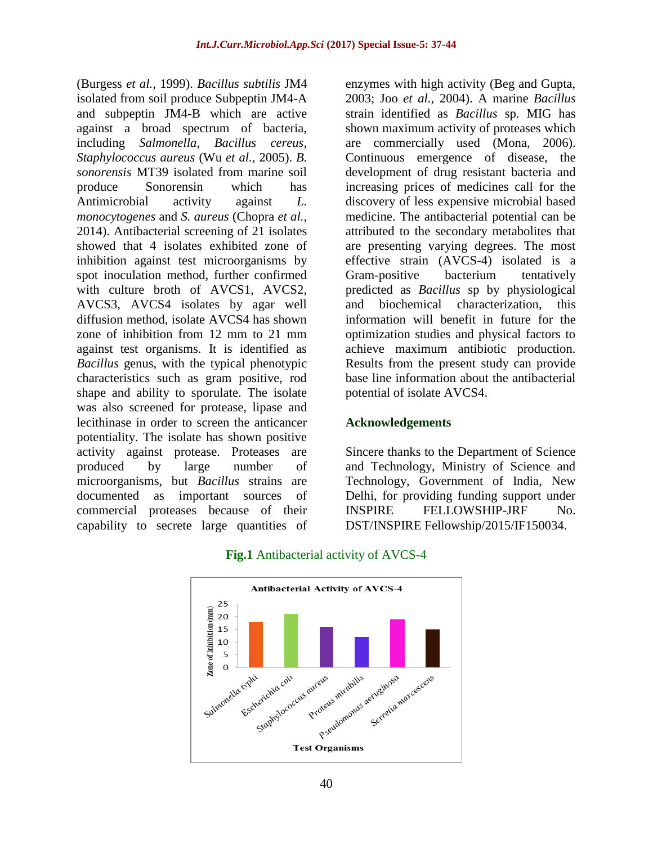(Burgess *et al.,* 1999). *Bacillus subtilis* JM4 isolated from soil produce Subpeptin JM4-A and subpeptin JM4-B which are active against a broad spectrum of bacteria, including *Salmonella*, *Bacillus cereus*, *Staphylococcus aureus* (Wu *et al.,* 2005). *B. sonorensis* MT39 isolated from marine soil produce Sonorensin which has Antimicrobial activity against *L. monocytogenes* and *S. aureus* (Chopra *et al.,* 2014). Antibacterial screening of 21 isolates showed that 4 isolates exhibited zone of inhibition against test microorganisms by spot inoculation method, further confirmed with culture broth of AVCS1, AVCS2, AVCS3, AVCS4 isolates by agar well diffusion method, isolate AVCS4 has shown zone of inhibition from 12 mm to 21 mm against test organisms. It is identified as *Bacillus* genus, with the typical phenotypic characteristics such as gram positive, rod shape and ability to sporulate. The isolate was also screened for protease, lipase and lecithinase in order to screen the anticancer potentiality. The isolate has shown positive activity against protease. Proteases are produced by large number of microorganisms, but *Bacillus* strains are documented as important sources of commercial proteases because of their capability to secrete large quantities of enzymes with high activity (Beg and Gupta, 2003; Joo *et al.,* 2004). A marine *Bacillus* strain identified as *Bacillus* sp. MIG has shown maximum activity of proteases which are commercially used (Mona, 2006). Continuous emergence of disease, the development of drug resistant bacteria and increasing prices of medicines call for the discovery of less expensive microbial based medicine. The antibacterial potential can be attributed to the secondary metabolites that are presenting varying degrees. The most effective strain (AVCS-4) isolated is a Gram-positive bacterium tentatively predicted as *Bacillus* sp by physiological and biochemical characterization, this information will benefit in future for the optimization studies and physical factors to achieve maximum antibiotic production. Results from the present study can provide base line information about the antibacterial potential of isolate AVCS4.

#### **Acknowledgements**

Sincere thanks to the Department of Science and Technology, Ministry of Science and Technology, Government of India, New Delhi, for providing funding support under INSPIRE FELLOWSHIP-JRF No. DST/INSPIRE Fellowship/2015/IF150034.



#### **Fig.1** Antibacterial activity of AVCS-4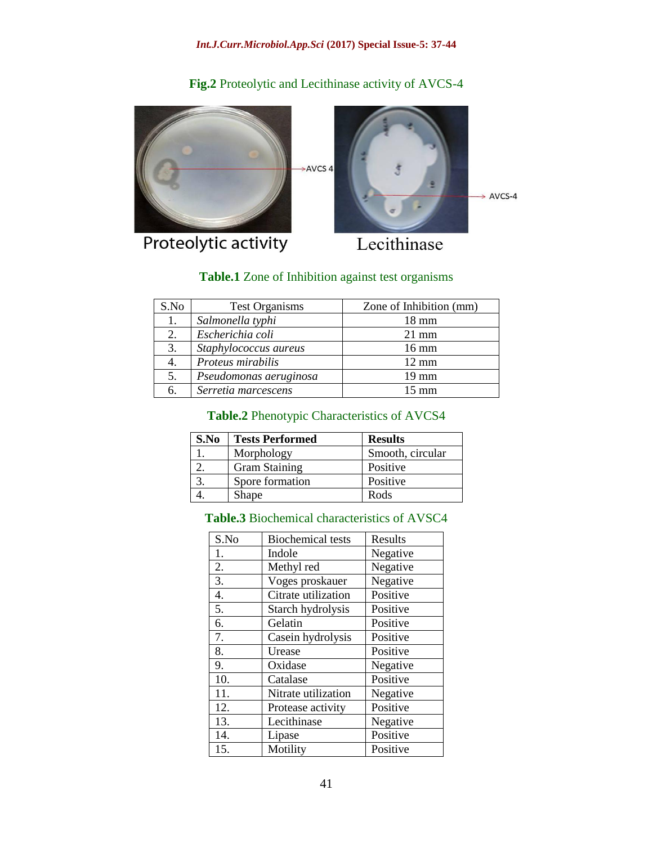**Fig.2** Proteolytic and Lecithinase activity of AVCS-4

AVCS 4  $\rightarrow$  AVCS-4

Proteolytic activity

Lecithinase

## **Table.1** Zone of Inhibition against test organisms

| S.No | <b>Test Organisms</b>  | Zone of Inhibition (mm) |
|------|------------------------|-------------------------|
| 1.   | Salmonella typhi       | $18 \text{ mm}$         |
| 2.   | Escherichia coli       | $21 \text{ mm}$         |
| 3.   | Staphylococcus aureus  | $16 \text{ mm}$         |
| 4.   | Proteus mirabilis      | $12 \text{ mm}$         |
| 5.   | Pseudomonas aeruginosa | $19 \text{ mm}$         |
| 6.   | Serretia marcescens    | $15 \text{ mm}$         |

## **Table.2** Phenotypic Characteristics of AVCS4

| S.No | <b>Tests Performed</b> | <b>Results</b>   |
|------|------------------------|------------------|
|      | Morphology             | Smooth, circular |
|      | <b>Gram Staining</b>   | Positive         |
|      | Spore formation        | Positive         |
|      | Shape                  | Rods             |

# **Table.3** Biochemical characteristics of AVSC4

| S.No | <b>Biochemical tests</b> | Results  |
|------|--------------------------|----------|
| 1.   | Indole                   | Negative |
| 2.   | Methyl red               | Negative |
| 3.   | Voges proskauer          | Negative |
| 4.   | Citrate utilization      | Positive |
| 5.   | Starch hydrolysis        | Positive |
| 6.   | Gelatin                  | Positive |
| 7.   | Casein hydrolysis        | Positive |
| 8.   | Urease                   | Positive |
| 9.   | Oxidase                  | Negative |
| 10.  | Catalase                 | Positive |
| 11.  | Nitrate utilization      | Negative |
| 12.  | Protease activity        | Positive |
| 13.  | Lecithinase              | Negative |
| 14.  | Lipase                   | Positive |
| 15.  | Motility                 | Positive |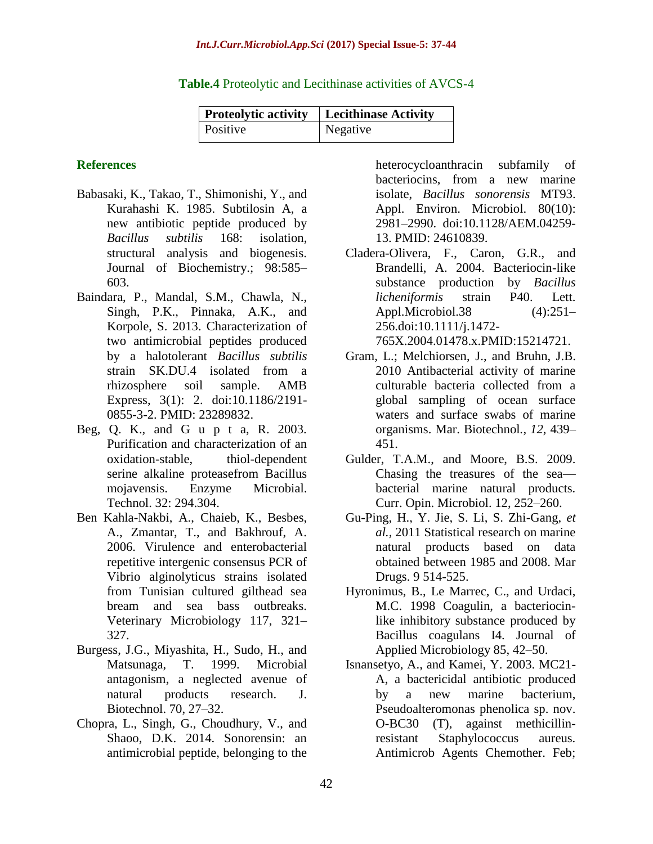| <b>Proteolytic activity</b> | Lecithinase Activity |
|-----------------------------|----------------------|
| <i>Positive</i>             | Negative             |

**Table.4** Proteolytic and Lecithinase activities of AVCS-4

#### **References**

- Babasaki, K., Takao, T., Shimonishi, Y., and Kurahashi K. 1985. Subtilosin A, a new antibiotic peptide produced by *Bacillus subtilis* 168: isolation, structural analysis and biogenesis. Journal of Biochemistry.; 98:585– 603.
- Baindara, P., Mandal, S.M., Chawla, N., Singh, P.K., Pinnaka, A.K., and Korpole, S. 2013. Characterization of two antimicrobial peptides produced by a halotolerant *Bacillus subtilis*  strain SK.DU.4 isolated from a rhizosphere soil sample. AMB Express, 3(1): 2. doi:10.1186/2191- 0855-3-2. PMID: 23289832.
- Beg, Q. K., and G u p t a, R. 2003. Purification and characterization of an oxidation-stable, thiol-dependent serine alkaline proteasefrom Bacillus mojavensis. Enzyme Microbial. Technol. 32: 294.304.
- Ben Kahla-Nakbi, A., Chaieb, K., Besbes, A., Zmantar, T., and Bakhrouf, A. 2006. Virulence and enterobacterial repetitive intergenic consensus PCR of Vibrio alginolyticus strains isolated from Tunisian cultured gilthead sea bream and sea bass outbreaks. Veterinary Microbiology 117, 321– 327.
- Burgess, J.G., Miyashita, H., Sudo, H., and Matsunaga, T. 1999. Microbial antagonism, a neglected avenue of natural products research. J. Biotechnol. 70, 27–32.
- Chopra, L., Singh, G., Choudhury, V., and Shaoo, D.K. 2014. Sonorensin: an antimicrobial peptide, belonging to the

heterocycloanthracin subfamily of bacteriocins, from a new marine isolate, *Bacillus sonorensis* MT93. Appl. Environ. Microbiol. 80(10): 2981–2990. doi:10.1128/AEM.04259- 13. PMID: 24610839.

Cladera-Olivera, F., Caron, G.R., and Brandelli, A. 2004. Bacteriocin-like substance production by *Bacillus licheniformis* strain P40. Lett. Appl.Microbiol.38 (4):251– 256.doi:10.1111/j.1472- 765X.2004.01478.x.PMID:15214721.

- Gram, L.; Melchiorsen, J., and Bruhn, J.B. 2010 Antibacterial activity of marine culturable bacteria collected from a global sampling of ocean surface waters and surface swabs of marine organisms. Mar. Biotechnol*.*, *12*, 439– 451.
- Gulder, T.A.M., and Moore, B.S. 2009. Chasing the treasures of the sea bacterial marine natural products. Curr. Opin. Microbiol. 12, 252–260.
- Gu-Ping, H., Y. Jie, S. Li, S. Zhi-Gang, *et al.,* 2011 Statistical research on marine natural products based on data obtained between 1985 and 2008. Mar Drugs. 9 514-525.
- Hyronimus, B., Le Marrec, C., and Urdaci, M.C. 1998 Coagulin, a bacteriocinlike inhibitory substance produced by Bacillus coagulans I4. Journal of Applied Microbiology 85, 42–50.
- Isnansetyo, A., and Kamei, Y. 2003. MC21- A, a bactericidal antibiotic produced by a new marine bacterium, Pseudoalteromonas phenolica sp. nov. O-BC30 (T), against methicillinresistant Staphylococcus aureus. Antimicrob Agents Chemother. Feb;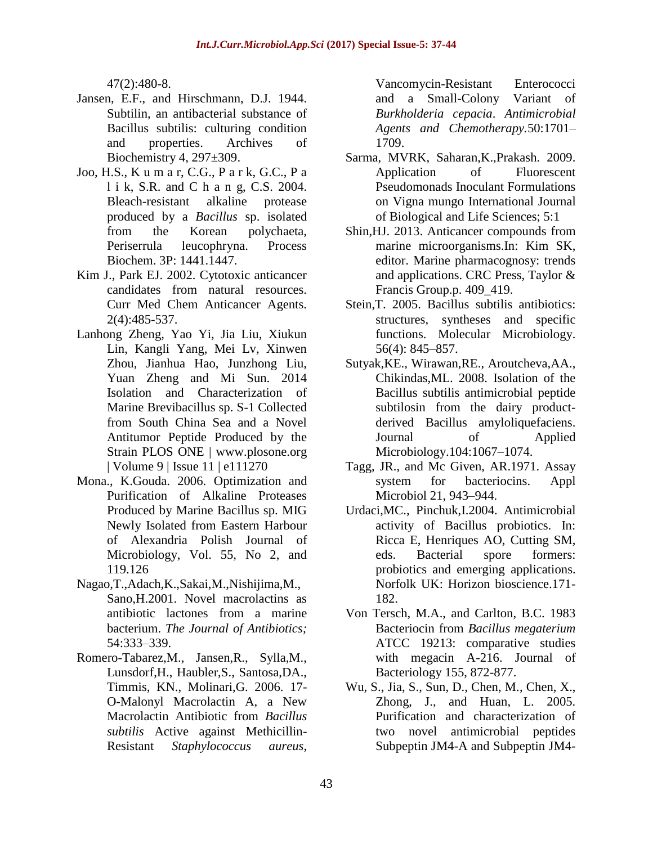47(2):480-8.

- Jansen, E.F., and Hirschmann, D.J. 1944. Subtilin, an antibacterial substance of Bacillus subtilis: culturing condition and properties. Archives of Biochemistry 4, 297±309.
- Joo, H.S., K u m a r, C.G., P a r k, G.C., P a l i k, S.R. and C h a n g, C.S. 2004. Bleach-resistant alkaline protease produced by a *Bacillus* sp. isolated from the Korean polychaeta, Periserrula leucophryna. Process Biochem. 3P: 1441.1447.
- Kim J., Park EJ. 2002. Cytotoxic anticancer candidates from natural resources. Curr Med Chem Anticancer Agents. 2(4):485-537.
- Lanhong Zheng, Yao Yi, Jia Liu, Xiukun Lin, Kangli Yang, Mei Lv, Xinwen Zhou, Jianhua Hao, Junzhong Liu, Yuan Zheng and Mi Sun. 2014 Isolation and Characterization of Marine Brevibacillus sp. S-1 Collected from South China Sea and a Novel Antitumor Peptide Produced by the Strain PLOS ONE | www.plosone.org | Volume 9 | Issue 11 | e111270
- Mona., K.Gouda. 2006. Optimization and Purification of Alkaline Proteases Produced by Marine Bacillus sp. MIG Newly Isolated from Eastern Harbour of Alexandria Polish Journal of Microbiology, Vol. 55, No 2, and 119.126
- Nagao,T.,Adach,K.,Sakai,M.,Nishijima,M., Sano,H.2001. Novel macrolactins as antibiotic lactones from a marine bacterium. *The Journal of Antibiotics;* 54:333–339.
- Romero-Tabarez,M., Jansen,R., Sylla,M., Lunsdorf,H., Haubler,S., Santosa,DA., Timmis, KN., Molinari,G. 2006. 17- O-Malonyl Macrolactin A, a New Macrolactin Antibiotic from *Bacillus subtilis* Active against Methicillin-Resistant *Staphylococcus aureus*,

Vancomycin-Resistant Enterococci and a Small-Colony Variant of *Burkholderia cepacia*. *Antimicrobial Agents and Chemotherapy.*50:1701– 1709.

- Sarma, MVRK, Saharan,K.,Prakash. 2009. Application of Fluorescent Pseudomonads Inoculant Formulations on Vigna mungo International Journal of Biological and Life Sciences; 5:1
- Shin,HJ. 2013. Anticancer compounds from marine microorganisms.In: Kim SK, editor. Marine pharmacognosy: trends and applications. CRC Press, Taylor & Francis Group.p. 409\_419.
- Stein,T. 2005. Bacillus subtilis antibiotics: structures, syntheses and specific functions. Molecular Microbiology. 56(4): 845–857.
- Sutyak,KE., Wirawan,RE., Aroutcheva,AA., Chikindas,ML. 2008. Isolation of the Bacillus subtilis antimicrobial peptide subtilosin from the dairy productderived Bacillus amyloliquefaciens. Journal of Applied Microbiology.104:1067–1074.
- Tagg, JR., and Mc Given, AR.1971. Assay system for bacteriocins. Appl Microbiol 21, 943–944.
- Urdaci,MC., Pinchuk,I.2004. Antimicrobial activity of Bacillus probiotics. In: Ricca E, Henriques AO, Cutting SM, eds. Bacterial spore formers: probiotics and emerging applications. Norfolk UK: Horizon bioscience.171- 182.
- Von Tersch, M.A., and Carlton, B.C. 1983 Bacteriocin from *Bacillus megaterium* ATCC 19213: comparative studies with megacin A-216. Journal of Bacteriology 155, 872-877.
- Wu, S., Jia, S., Sun, D., Chen, M., Chen, X., Zhong, J., and Huan, L. 2005. Purification and characterization of two novel antimicrobial peptides Subpeptin JM4-A and Subpeptin JM4-